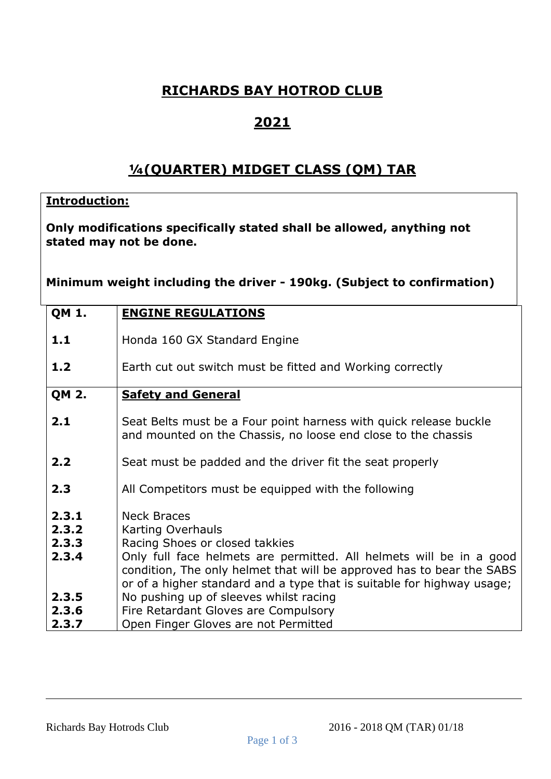## **RICHARDS BAY HOTROD CLUB**

## **2021**

## **¼(QUARTER) MIDGET CLASS (QM) TAR**

## **Introduction:**

**Only modifications specifically stated shall be allowed, anything not stated may not be done.**

**Minimum weight including the driver - 190kg. (Subject to confirmation)**

| <b>QM 1.</b>                     | <b>ENGINE REGULATIONS</b>                                                                                                                                                                                                                                                                           |
|----------------------------------|-----------------------------------------------------------------------------------------------------------------------------------------------------------------------------------------------------------------------------------------------------------------------------------------------------|
| 1.1                              | Honda 160 GX Standard Engine                                                                                                                                                                                                                                                                        |
| 1.2                              | Earth cut out switch must be fitted and Working correctly                                                                                                                                                                                                                                           |
| <b>QM 2.</b>                     | <b>Safety and General</b>                                                                                                                                                                                                                                                                           |
| 2.1                              | Seat Belts must be a Four point harness with quick release buckle<br>and mounted on the Chassis, no loose end close to the chassis                                                                                                                                                                  |
| 2.2                              | Seat must be padded and the driver fit the seat properly                                                                                                                                                                                                                                            |
| 2.3                              | All Competitors must be equipped with the following                                                                                                                                                                                                                                                 |
| 2.3.1<br>2.3.2<br>2.3.3<br>2.3.4 | <b>Neck Braces</b><br>Karting Overhauls<br>Racing Shoes or closed takkies<br>Only full face helmets are permitted. All helmets will be in a good<br>condition, The only helmet that will be approved has to bear the SABS<br>or of a higher standard and a type that is suitable for highway usage; |
| 2.3.5<br>2.3.6                   | No pushing up of sleeves whilst racing<br>Fire Retardant Gloves are Compulsory                                                                                                                                                                                                                      |
| 2.3.7                            | Open Finger Gloves are not Permitted                                                                                                                                                                                                                                                                |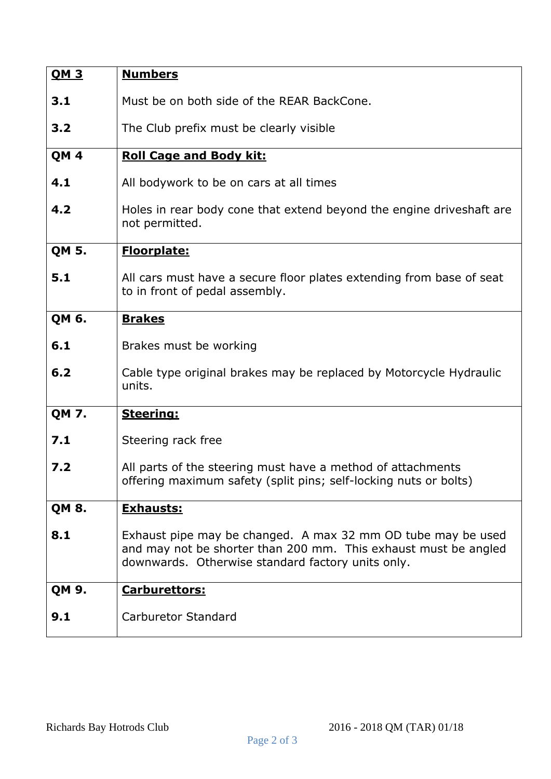| <u>OM 3</u>     | <b>Numbers</b>                                                                                                                                                                       |
|-----------------|--------------------------------------------------------------------------------------------------------------------------------------------------------------------------------------|
| 3.1             | Must be on both side of the REAR BackCone.                                                                                                                                           |
| 3.2             | The Club prefix must be clearly visible                                                                                                                                              |
| QM <sub>4</sub> | <b>Roll Cage and Body kit:</b>                                                                                                                                                       |
| 4.1             | All bodywork to be on cars at all times                                                                                                                                              |
| 4.2             | Holes in rear body cone that extend beyond the engine driveshaft are<br>not permitted.                                                                                               |
| <b>QM 5.</b>    | <b>Floorplate:</b>                                                                                                                                                                   |
| 5.1             | All cars must have a secure floor plates extending from base of seat<br>to in front of pedal assembly.                                                                               |
| QM 6.           | <b>Brakes</b>                                                                                                                                                                        |
| 6.1             | Brakes must be working                                                                                                                                                               |
| 6.2             | Cable type original brakes may be replaced by Motorcycle Hydraulic<br>units.                                                                                                         |
| <b>QM 7.</b>    | <b>Steering:</b>                                                                                                                                                                     |
| 7.1             | Steering rack free                                                                                                                                                                   |
| 7.2             | All parts of the steering must have a method of attachments<br>offering maximum safety (split pins; self-locking nuts or bolts)                                                      |
| <b>QM 8.</b>    | <b>Exhausts:</b>                                                                                                                                                                     |
| 8.1             | Exhaust pipe may be changed. A max 32 mm OD tube may be used<br>and may not be shorter than 200 mm. This exhaust must be angled<br>downwards. Otherwise standard factory units only. |
| QM 9.           | Carburettors:                                                                                                                                                                        |
| 9.1             | <b>Carburetor Standard</b>                                                                                                                                                           |